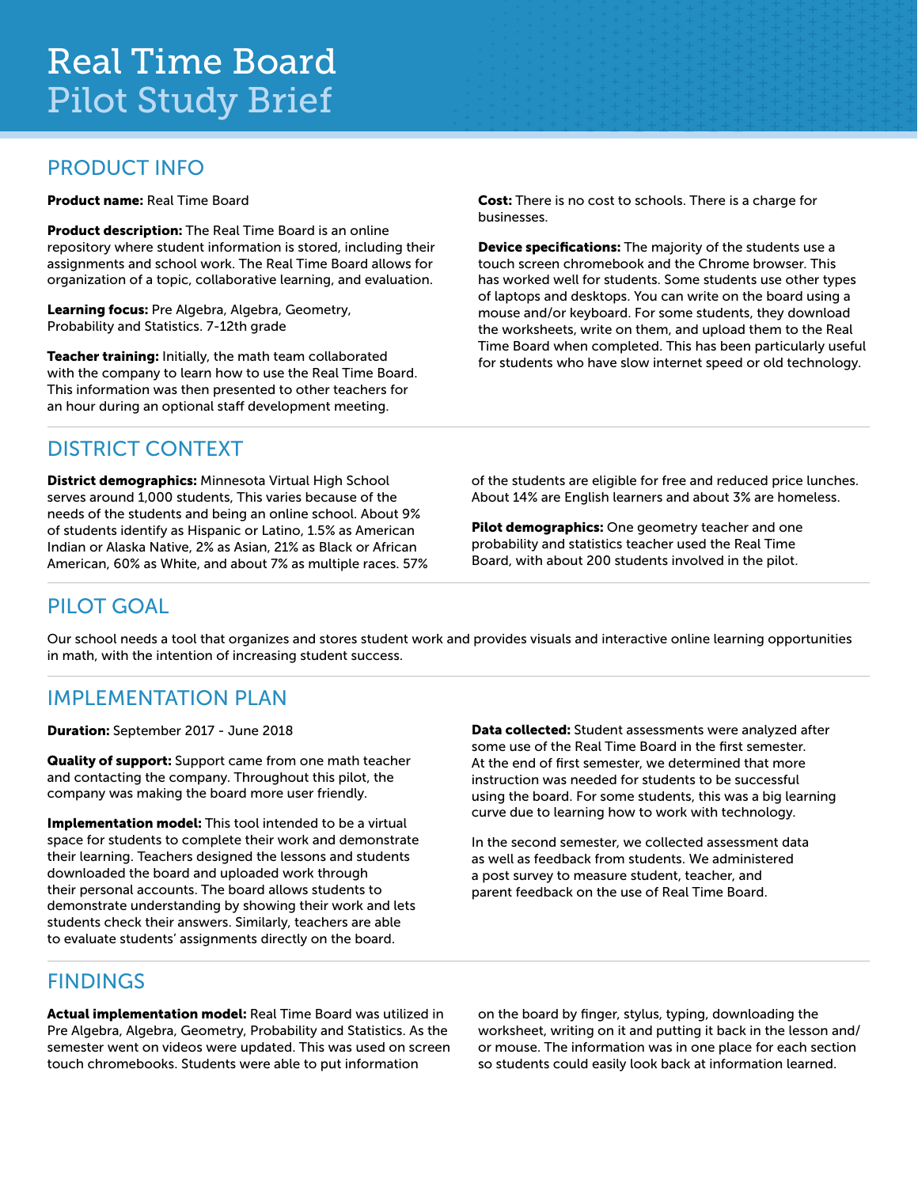### PRODUCT INFO

Product name: Real Time Board

Product description: The Real Time Board is an online repository where student information is stored, including their assignments and school work. The Real Time Board allows for organization of a topic, collaborative learning, and evaluation.

Learning focus: Pre Algebra, Algebra, Geometry, Probability and Statistics. 7-12th grade

Teacher training: Initially, the math team collaborated with the company to learn how to use the Real Time Board. This information was then presented to other teachers for an hour during an optional staff development meeting.

Cost: There is no cost to schools. There is a charge for businesses.

Device specifications: The majority of the students use a touch screen chromebook and the Chrome browser. This has worked well for students. Some students use other types of laptops and desktops. You can write on the board using a mouse and/or keyboard. For some students, they download the worksheets, write on them, and upload them to the Real Time Board when completed. This has been particularly useful for students who have slow internet speed or old technology.

### DISTRICT CONTEXT

District demographics: Minnesota Virtual High School serves around 1,000 students, This varies because of the needs of the students and being an online school. About 9% of students identify as Hispanic or Latino, 1.5% as American Indian or Alaska Native, 2% as Asian, 21% as Black or African American, 60% as White, and about 7% as multiple races. 57% of the students are eligible for free and reduced price lunches. About 14% are English learners and about 3% are homeless.

Pilot demographics: One geometry teacher and one probability and statistics teacher used the Real Time Board, with about 200 students involved in the pilot.

## PILOT GOAL

Our school needs a tool that organizes and stores student work and provides visuals and interactive online learning opportunities in math, with the intention of increasing student success.

# IMPLEMENTATION PLAN

Duration: September 2017 - June 2018

Quality of support: Support came from one math teacher and contacting the company. Throughout this pilot, the company was making the board more user friendly.

Implementation model: This tool intended to be a virtual space for students to complete their work and demonstrate their learning. Teachers designed the lessons and students downloaded the board and uploaded work through their personal accounts. The board allows students to demonstrate understanding by showing their work and lets students check their answers. Similarly, teachers are able to evaluate students' assignments directly on the board.

Data collected: Student assessments were analyzed after some use of the Real Time Board in the first semester. At the end of first semester, we determined that more instruction was needed for students to be successful using the board. For some students, this was a big learning curve due to learning how to work with technology.

In the second semester, we collected assessment data as well as feedback from students. We administered a post survey to measure student, teacher, and parent feedback on the use of Real Time Board.

# FINDINGS

Actual implementation model: Real Time Board was utilized in Pre Algebra, Algebra, Geometry, Probability and Statistics. As the semester went on videos were updated. This was used on screen touch chromebooks. Students were able to put information

on the board by finger, stylus, typing, downloading the worksheet, writing on it and putting it back in the lesson and/ or mouse. The information was in one place for each section so students could easily look back at information learned.